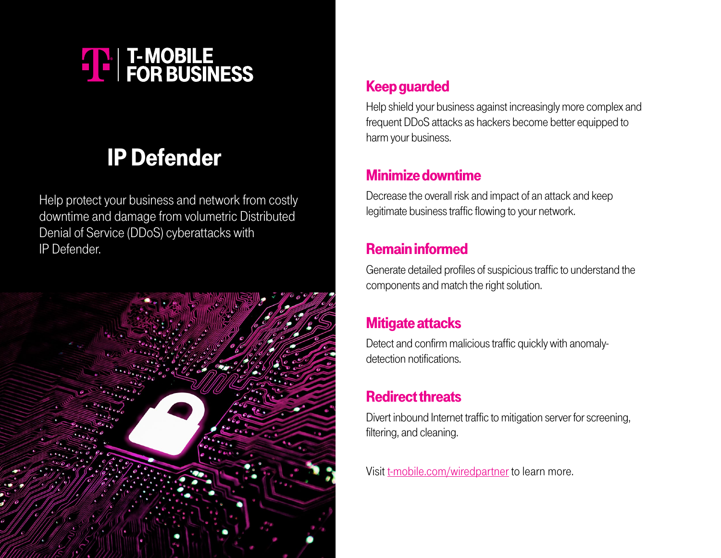# **THE T-MOBILE**<br>
FOR BUSINESS

## IP Defender

Help protect your business and network from costly downtime and damage from volumetric Distributed Denial of Service (DDoS) cyberattacks with IP Defender.



#### Keep guarded

Help shield your business against increasingly more complex and frequent DDoS attacks as hackers become better equipped to harm your business.

#### Minimize downtime

Decrease the overall risk and impact of an attack and keep legitimate business traffic flowing to your network.

#### Remain informed

Generate detailed profiles of suspicious traffic to understand the components and match the right solution.

#### Mitigate attacks

Detect and confirm malicious traffic quickly with anomalydetection notifications.

### Redirect threats

Divert inbound Internet traffic to mitigation server for screening, filtering, and cleaning.

Visit [t-mobile.com/wiredpartner](http://t-mobile.com/wiredpartner) to learn more.